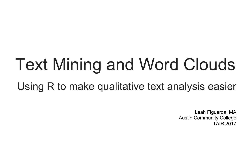# Text Mining and Word Clouds Using R to make qualitative text analysis easier

Leah Figueroa, MA Austin Community College TAIR 2017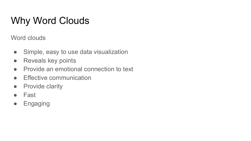### Why Word Clouds

Word clouds

- Simple, easy to use data visualization
- Reveals key points
- Provide an emotional connection to text
- Effective communication
- Provide clarity
- Fast
- Engaging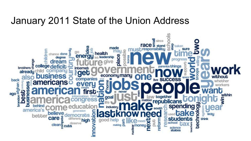#### January 2011 State of the Union Address

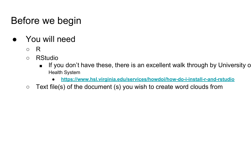### Before we begin

- You will need
	- R
	- RStudio
		- If you don't have these, there is an excellent walk through by University of Virginian B Health System
			- **<https://www.hsl.virginia.edu/services/howdoi/how-do-i-install-r-and-rstudio>**
	- $\circ$  Text file(s) of the document (s) you wish to create word clouds from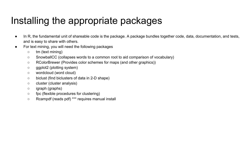#### Installing the appropriate packages

- In R, the fundamental unit of shareable code is the package. A package bundles together code, data, documentation, and tests, and is easy to share with others.
- For text mining, you will need the following packages
	- tm (text mining)
	- SnowballCC (collapses words to a common root to aid comparison of vocabulary)
	- RColorBrewer (Provides color schemes for maps (and other graphics))
	- ggplot2 (plotting system)
	- wordcloud (word cloud)
	- biclust (find biclusters of data in 2-D shape)
	- cluster (cluster analysis)
	- igraph (graphs)
	- fpc (flexible procedures for clustering)
	- Rcampdf (reads pdf) \*\*\* requires manual install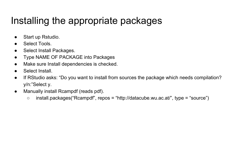#### Installing the appropriate packages

- Start up Rstudio.
- Select Tools.
- Select Install Packages.
- Type NAME OF PACKAGE into Packages
- Make sure Install dependencies is checked.
- Select Install.
- If RStudio asks: "Do you want to install from sources the package which needs compilation? y/n:"Select y.
- Manually install Rcampdf (reads pdf).
	- install.packages("Rcampdf", repos = "http://datacube.wu.ac.at/", type = "source")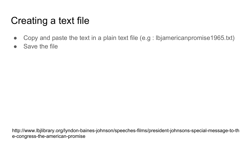### Creating a text file

- Copy and paste the text in a plain text file (e.g : lbjamericanpromise1965.txt)
- Save the file

http://www.lbjlibrary.org/lyndon-baines-johnson/speeches-films/president-johnsons-special-message-to-th e-congress-the-american-promise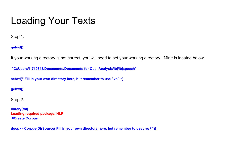#### Loading Your Texts

Step 1:

**getwd()**

If your working directory is not correct, you will need to set your working directory. Mine is located below.

 **"C:/Users/l1719843/Documents/Documents for Qual Analysis/lbj/lbjspeech"**

**setwd(" Fill in your own directory here, but remember to use / vs \ ")**

**getwd()** 

Step 2:

**library(tm) Loading required package: NLP #Create Corpus**

**docs <- Corpus(DirSource( Fill in your own directory here, but remember to use / vs \ "))**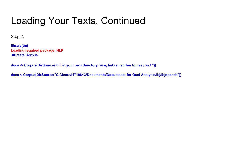#### Loading Your Texts, Continued

Step 2:

**library(tm) Loading required package: NLP #Create Corpus**

**docs <- Corpus(DirSource( Fill in your own directory here, but remember to use / vs \ "))**

**docs <-Corpus(DirSource("C:/Users/l1719843/Documents/Documents for Qual Analysis/lbj/lbjspeech"))**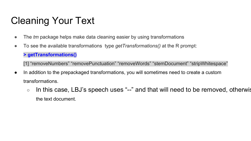### Cleaning Your Text

- The *tm* package helps make data cleaning easier by using transformations
- To see the available transformations type *getTransformations()* at the R prompt:

#### **> getTransformations()**

[1] "removeNumbers" "removePunctuation" "removeWords" "stemDocument" "stripWhitespace"

- In addition to the prepackaged transformations, you will sometimes need to create a custom transformations.
	- $\circ$  In this case, LBJ's speech uses " $-$ " and that will need to be removed, otherwis the text document.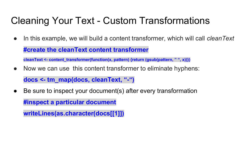#### Cleaning Your Text - Custom Transformations

● In this example, we will build a content transformer, which will call *cleanText*

**#create the cleanText content transformer**

**cleanText <- content\_transformer(function(x, pattern) {return (gsub(pattern, " ", x))})**

• Now we can use this content transformer to eliminate hyphens:

**docs <- tm\_map(docs, cleanText, "-")**

• Be sure to inspect your document(s) after every transformation **#inspect a particular document**

**writeLines(as.character(docs[[1]])**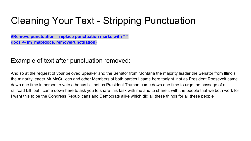#### Cleaning Your Text - Stripping Punctuation

**#Remove punctuation – replace punctuation marks with " " docs <- tm\_map(docs, removePunctuation)**

#### Example of text after punctuation removed:

And so at the request of your beloved Speaker and the Senator from Montana the majority leader the Senator from Illinois the minority leader Mr McCulloch and other Members of both parties I came here tonight not as President Roosevelt came down one time in person to veto a bonus bill not as President Truman came down one time to urge the passage of a railroad bill but I came down here to ask you to share this task with me and to share it with the people that we both work for I want this to be the Congress Republicans and Democrats alike which did all these things for all these people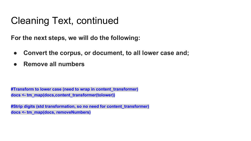#### Cleaning Text, continued

**For the next steps, we will do the following:**

- **● Convert the corpus, or document, to all lower case and;**
- **● Remove all numbers**

**#Transform to lower case (need to wrap in content\_transformer) docs <- tm\_map(docs,content\_transformer(tolower))**

**#Strip digits (std transformation, so no need for content\_transformer) docs <- tm\_map(docs, removeNumbers)**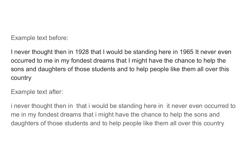Example text before:

I never thought then in 1928 that I would be standing here in 1965 It never even occurred to me in my fondest dreams that I might have the chance to help the sons and daughters of those students and to help people like them all over this country

Example text after:

i never thought then in that i would be standing here in it never even occurred to me in my fondest dreams that i might have the chance to help the sons and daughters of those students and to help people like them all over this country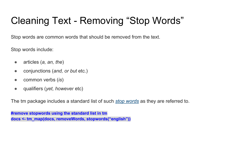# Cleaning Text - Removing "Stop Words"

Stop words are common words that should be removed from the text.

Stop words include:

- articles (*a, an, the*)
- conjunctions (*and, or but* etc.)
- common verbs (*is*)
- qualifiers (*yet, however* etc)

The tm package includes a standard list of such *[stop words](http://en.wikipedia.org/wiki/Stop_words)* as they are referred to.

**#remove stopwords using the standard list in tm docs <- tm\_map(docs, removeWords, stopwords("english"))**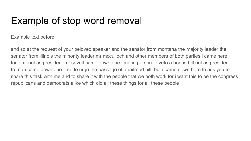#### Example of stop word removal

Example text before:

and so at the request of your beloved speaker and the senator from montana the majority leader the senator from illinois the minority leader mr mcculloch and other members of both parties i came here tonight not as president roosevelt came down one time in person to veto a bonus bill not as president truman came down one time to urge the passage of a railroad bill but i came down here to ask you to share this task with me and to share it with the people that we both work for i want this to be the congress republicans and democrats alike which did all these things for all these people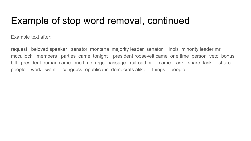#### Example of stop word removal, continued

Example text after:

request beloved speaker senator montana majority leader senator illinois minority leader mr mcculloch members parties came tonight president roosevelt came one time person veto bonus bill president truman came one time urge passage railroad bill came ask share task share people work want congress republicans democrats alike things people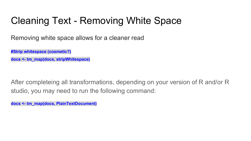#### Cleaning Text - Removing White Space

Removing white space allows for a cleaner read

**#Strip whitespace (cosmetic?)**

**docs <- tm\_map(docs, stripWhitespace)**

After completeing all transformations, depending on your version of R and/or R studio, you may need to run the following command:

**docs <- tm\_map(docs, PlainTextDocument)**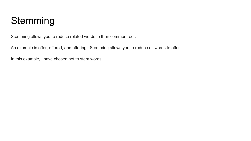#### **Stemming**

Stemming allows you to reduce related words to their common root.

An example is offer, offered, and offering. Stemming allows you to reduce all words to offer.

In this example, I have chosen not to stem words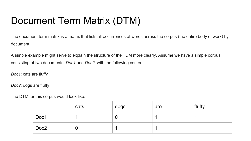### Document Term Matrix (DTM)

The document term matrix is a matrix that lists all occurrences of words across the corpus (the entire body of work) by document.

A simple example might serve to explain the structure of the TDM more clearly. Assume we have a simple corpus consisting of two documents, *Doc1* and *Doc2*, with the following content:

*Doc1*: cats are fluffy

*Doc2*: dogs are fluffy

The DTM for this corpus would look like:

|      | cats | dogs | are | fluffy |
|------|------|------|-----|--------|
| Doc1 |      |      |     |        |
| Doc2 | U    |      |     |        |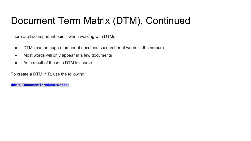#### Document Term Matrix (DTM), Continued

There are two important points when working with DTMs

- DTMs can be huge (number of documents x number of words in the corpus)
- Most words will only appear in a few documents
- As a result of these, a DTM is sparse

To create a DTM in R, use the following:

**dtm <- DocumentTermMatrix(docs)**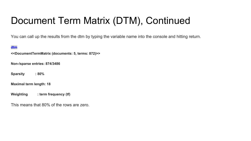### Document Term Matrix (DTM), Continued

You can call up the results from the dtm by typing the variable name into the console and hitting return.

#### **dtm**

**<<DocumentTermMatrix (documents: 5, terms: 872)>>**

**Non-/sparse entries: 874/3486**

**Sparsity : 80%**

**Maximal term length: 18**

**Weighting : term frequency (tf)**

This means that 80% of the rows are zero.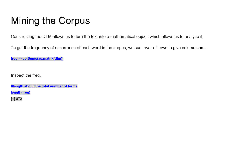### Mining the Corpus

Constructing the DTM allows us to turn the text into a mathematical object, which allows us to analyze it.

To get the frequency of occurrence of each word in the corpus, we sum over all rows to give column sums:

**freq <- colSums(as.matrix(dtm))**

Inspect the freq.

**#length should be total number of terms length(freq) [1] 872**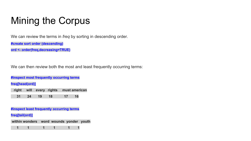# Mining the Corpus

We can review the terms in *freq* by sorting in descending order.

**#create sort order (descending)**

**ord <- order(freq,decreasing=TRUE)**

We can then review both the most and least frequently occurring terms:

**#inspect most frequently occurring terms**

**freq[head(ord)]**

 **right will every rights must american 31 24 19 18 17 16**

**#inspect least frequently occurring terms**

**freq[tail(ord)]** 

 **within wonders word wounds yonder youth**

 **1 1 1 1 1 1**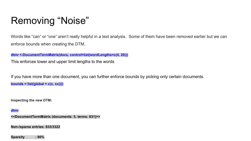### Removing "Noise"

Words like "can" or "one" aren't really helpful in a text analysis. Some of them have been removed earlier but we can enforce bounds when creating the DTM.

**dtmr <-DocumentTermMatrix(docs, control=list(wordLengths=c(4, 20)))**

This enforces lower and upper limit lengths to the words

If you have more than one document, you can further enforce bounds by picking only certain documents. **bounds = list(global =**  $c(x, xx)$ **))** 

**Inspecting the new DTM:**

**dtmr**

**<<DocumentTermMatrix (documents: 5, terms: 831)>>**

**Non-/sparse entries: 833/3322**

**Sparsity : 80%**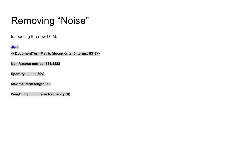### Removing "Noise"

Inspecting the new DTM:

#### **dtmr**

**<<DocumentTermMatrix (documents: 5, terms: 831)>>**

**Non-/sparse entries: 833/3322**

**Sparsity : 80%**

**Maximal term length: 18**

**Weighting : term frequency (tf)**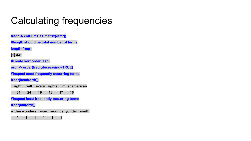#### Calculating frequencies

**freqr <- colSums(as.matrix(dtmr)) #length should be total number of terms**

**length(freqr)**

**[1] 831**

**#create sort order (asc)**

**ordr <- order(freqr,decreasing=TRUE)**

**#inspect most frequently occurring terms**

**freqr[head(ordr)]**

 **right will every rights must american**

 **31 24 19 18 17 16**

**#inspect least frequently occurring terms**

**freqr[tail(ordr)]**

**within wonders word wounds yonder youth**

 **1 1 1 1 1 1**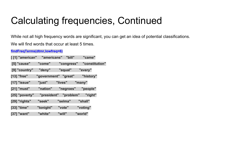#### Calculating frequencies, Continued

While not all high frequency words are significant, you can get an idea of potential classifications.

We will find words that occur at least 5 times.

#### **findFreqTerms(dtmr,lowfreq=6)**

| [[1] "american" "americans" "bill" |                      |                       | "came"         |  |
|------------------------------------|----------------------|-----------------------|----------------|--|
| [5] "cause"                        | "come"               | "congress"            | "constitution" |  |
| [9] "country"                      | "deny"               | "equal"               | "every"        |  |
| [13] "free"                        | "government" "great" |                       | "history"      |  |
| [17] "issue"                       | "just"               | "lives"               | "many"         |  |
| [21] "must"                        | "nation"             | "negroes"             | "people"       |  |
| [25] "poverty"                     |                      | "president" "problem" | "right"        |  |
| [29] "rights"                      | "seek"               | "selma"               | "shall"        |  |
| [33] "time"                        | "tonight"            | "vote"                | "voting"       |  |
| [37] "want"                        | "white"              | "will"                | "world"        |  |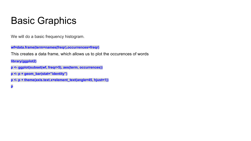#### Basic Graphics

We will do a basic frequency histogram.

**wf=data.frame(term=names(freqr),occurrences=freqr)**

This creates a data frame, which allows us to plot the occurences of words

**library(ggplot2)**

- **p <- ggplot(subset(wf, freqr>5), aes(term, occurrences))**
- **p <- p + geom\_bar(stat="identity")**
- **p <- p + theme(axis.text.x=element\_text(angle=45, hjust=1))**

**p**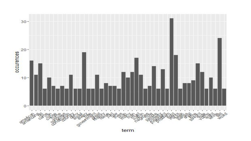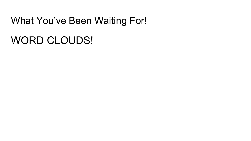#### What You've Been Waiting For!

# WORD CLOUDS!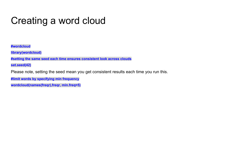#### Creating a word cloud

**#wordcloud**

**library(wordcloud)**

**#setting the same seed each time ensures consistent look across clouds**

**set.seed(42)**

Please note, setting the seed mean you get consistent results each time you run this.

**#limit words by specifying min frequency**

**wordcloud(names(freqr),freqr, min.freq=5)**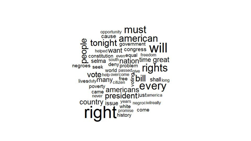opportunity **MUSt** tonight government<br>
helped want congress W **Example 10**<br> **Example 10**<br> **Example 10**<br> **Example 10**<br> **Example 10**<br> **Example 10**<br> **Example 10**<br> **Example 10**<br> **Example 10**<br> **Example 10**<br> **Example 10**<br> **Example 10**<br> **Example 10**<br> **Example 10**<br> **Example 10**<br> **Example 10** deny problem ri negroes seek Vote help overcome and passed give rights<br>livesduty many citizen and poverty americans every never president justamerica country issue years negrocivilreally<br>
rice thistory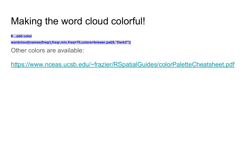#### Making the word cloud colorful!

**#…add color**

**wordcloud(names(freqr),freqr,min.freq=70,colors=brewer.pal(6,"Dark2″))**

Other colors are available:

<https://www.nceas.ucsb.edu/~frazier/RSpatialGuides/colorPaletteCheatsheet.pdf>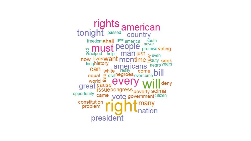rights american<br>tonight passed country Freedomshall give america south<br> **Burger MUST PEOPIE** promise voting<br>
mow liveswant mentime douty seek longhistory americans negro years can white really come bill<br>equal  $\overset{\text{av}}{\text{civil}}$  regroes overcome bill<br>great cause<br>great issuecongress. deny opportunity came vote government citizen constitution<br>problem many nation president